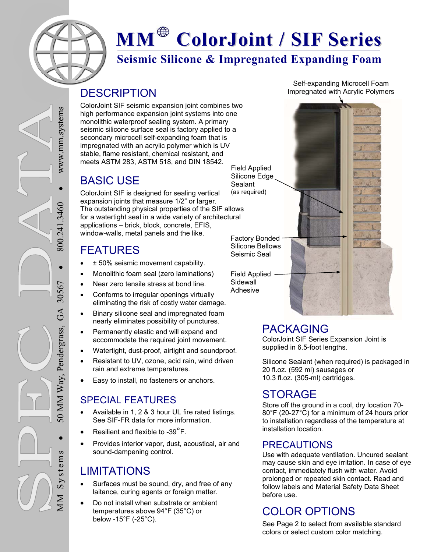

# **MM ColorJoint / SIF Series**

## **Seismic Silicone & Impregnated Expanding Foam**

### **DESCRIPTION**

ColorJoint SIF seismic expansion joint combines two high performance expansion joint systems into one monolithic waterproof sealing system. A primary seismic silicone surface seal is factory applied to a secondary microcell self-expanding foam that is impregnated with an acrylic polymer which is UV stable, flame resistant, chemical resistant, and meets ASTM 283, ASTM 518, and DIN 18542. Field Applied

## BASIC USE

ColorJoint SIF is designed for sealing vertical expansion joints that measure 1/2" or larger. The outstanding physical properties of the SIF allows for a watertight seal in a wide variety of architectural applications – brick, block, concrete, EFIS, window-walls, metal panels and the like. (as required)

## FEATURES

- ± 50% seismic movement capability.
- Monolithic foam seal (zero laminations)
- Near zero tensile stress at bond line.
- Conforms to irregular openings virtually eliminating the risk of costly water damage.
- Binary silicone seal and impregnated foam nearly eliminates possibility of punctures.
- Permanently elastic and will expand and accommodate the required joint movement.
- Watertight, dust-proof, airtight and soundproof.
- Resistant to UV, ozone, acid rain, wind driven rain and extreme temperatures.
- Easy to install, no fasteners or anchors.

#### SPECIAL FEATURES

- Available in 1, 2 & 3 hour UL fire rated listings. See SIF-FR data for more information.
- Resilient and flexible to -39°F.
- Provides interior vapor, dust, acoustical, air and sound-dampening control.

## LIMITATIONS

- Surfaces must be sound, dry, and free of any laitance, curing agents or foreign matter.
- Do not install when substrate or ambient temperatures above 94°F (35°C) or below -15°F (-25°C).

Self-expanding Microcell Foam Impregnated with Acrylic Polymers

Factory Bonded Silicone Bellows Seismic Seal

Silicone Edge **Sealant** 

Field Applied **Sidewall** Adhesive

## PACKAGING

ColorJoint SIF Series Expansion Joint is supplied in 6.5-foot lengths.

Silicone Sealant (when required) is packaged in 20 fl.oz. (592 ml) sausages or 10.3 fl.oz. (305-ml) cartridges.

## **STORAGE**

Store off the ground in a cool, dry location 70- 80°F (20-27°C) for a minimum of 24 hours prior to installation regardless of the temperature at installation location.

#### PRECAUTIONS

Use with adequate ventilation. Uncured sealant may cause skin and eye irritation. In case of eye contact, immediately flush with water. Avoid prolonged or repeated skin contact. Read and follow labels and Material Safety Data Sheet before use.

# COLOR OPTIONS

See Page 2 to select from available standard colors or select custom color matching.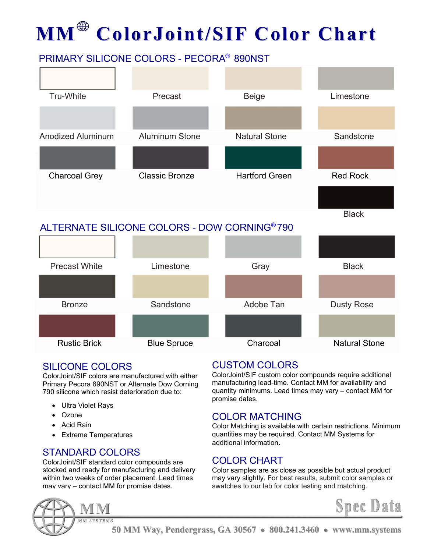# **MM ColorJoint/SIF Color Chart**

## PRIMARY SILICONE COLORS - PECORA® 890NST





#### SILICONE COLORS

ColorJoint/SIF colors are manufactured with either Primary Pecora 890NST or Alternate Dow Corning 790 silicone which resist deterioration due to:

- Ultra Violet Rays
- Ozone
- Acid Rain
- Extreme Temperatures

#### STANDARD COLORS

ColorJoint/SIF standard color compounds are stocked and ready for manufacturing and delivery within two weeks of order placement. Lead times may vary – contact MM for promise dates.

### CUSTOM COLORS

ColorJoint/SIF custom color compounds require additional manufacturing lead-time. Contact MM for availability and quantity minimums. Lead times may vary – contact MM for promise dates.

#### COLOR MATCHING

Color Matching is available with certain restrictions. Minimum quantities may be required. Contact MM Systems for additional information.

#### COLOR CHART

Color samples are as close as possible but actual product may vary slightly. For best results, submit color samples or swatches to our lab for color testing and matching.